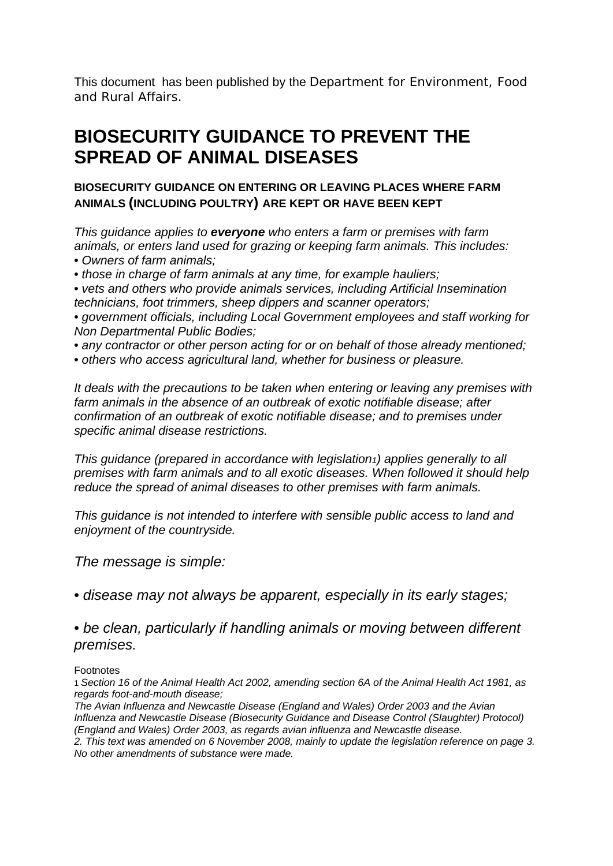This document has been published by the Department for Environment, Food and Rural Affairs.

# **BIOSECURITY GUIDANCE TO PREVENT THE SPREAD OF ANIMAL DISEASES**

# **BIOSECURITY GUIDANCE ON ENTERING OR LEAVING PLACES WHERE FARM ANIMALS (INCLUDING POULTRY) ARE KEPT OR HAVE BEEN KEPT**

*This guidance applies to everyone who enters a farm or premises with farm animals, or enters land used for grazing or keeping farm animals. This includes:* 

- *Owners of farm animals;*
- *those in charge of farm animals at any time, for example hauliers;*
- *vets and others who provide animals services, including Artificial Insemination technicians, foot trimmers, sheep dippers and scanner operators;*

• *government officials, including Local Government employees and staff working for Non Departmental Public Bodies;* 

- *any contractor or other person acting for or on behalf of those already mentioned;*
- *others who access agricultural land, whether for business or pleasure.*

*It deals with the precautions to be taken when entering or leaving any premises with farm animals in the absence of an outbreak of exotic notifiable disease; after confirmation of an outbreak of exotic notifiable disease; and to premises under specific animal disease restrictions.* 

*This guidance (prepared in accordance with legislation1) applies generally to all premises with farm animals and to all exotic diseases. When followed it should help reduce the spread of animal diseases to other premises with farm animals.* 

*This guidance is not intended to interfere with sensible public access to land and enjoyment of the countryside.* 

*The message is simple:* 

• *disease may not always be apparent, especially in its early stages;* 

• *be clean, particularly if handling animals or moving between different premises.* 

Footnotes

1 *Section 16 of the Animal Health Act 2002, amending section 6A of the Animal Health Act 1981, as regards foot-and-mouth disease;* 

*The Avian Influenza and Newcastle Disease (England and Wales) Order 2003 and the Avian Influenza and Newcastle Disease (Biosecurity Guidance and Disease Control (Slaughter) Protocol) (England and Wales) Order 2003, as regards avian influenza and Newcastle disease.* 

*2. This text was amended on 6 November 2008, mainly to update the legislation reference on page 3. No other amendments of substance were made.*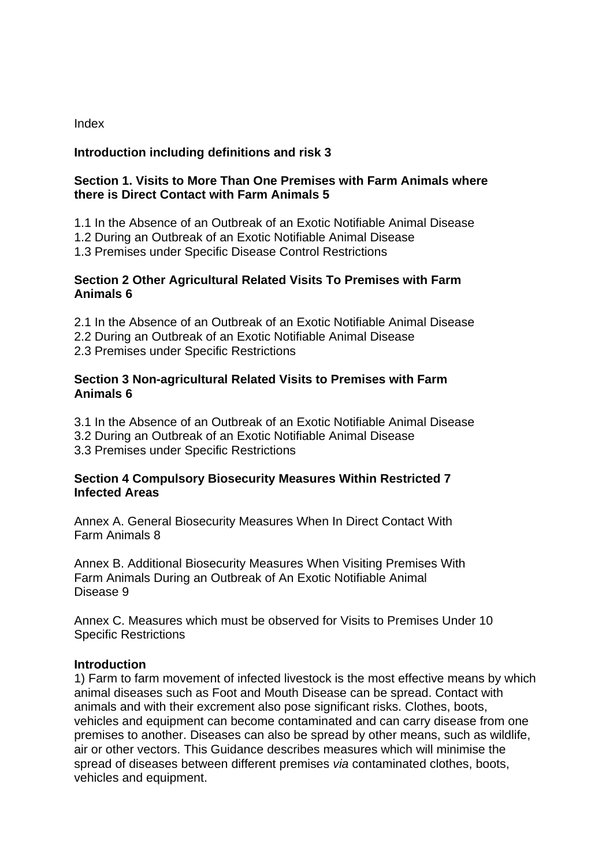#### Index

### **Introduction including definitions and risk 3**

### **Section 1. Visits to More Than One Premises with Farm Animals where there is Direct Contact with Farm Animals 5**

1.1 In the Absence of an Outbreak of an Exotic Notifiable Animal Disease

1.2 During an Outbreak of an Exotic Notifiable Animal Disease

1.3 Premises under Specific Disease Control Restrictions

### **Section 2 Other Agricultural Related Visits To Premises with Farm Animals 6**

2.1 In the Absence of an Outbreak of an Exotic Notifiable Animal Disease 2.2 During an Outbreak of an Exotic Notifiable Animal Disease 2.3 Premises under Specific Restrictions

### **Section 3 Non-agricultural Related Visits to Premises with Farm Animals 6**

3.1 In the Absence of an Outbreak of an Exotic Notifiable Animal Disease 3.2 During an Outbreak of an Exotic Notifiable Animal Disease

3.3 Premises under Specific Restrictions

### **Section 4 Compulsory Biosecurity Measures Within Restricted 7 Infected Areas**

Annex A. General Biosecurity Measures When In Direct Contact With Farm Animals 8

Annex B. Additional Biosecurity Measures When Visiting Premises With Farm Animals During an Outbreak of An Exotic Notifiable Animal Disease 9

Annex C. Measures which must be observed for Visits to Premises Under 10 Specific Restrictions

### **Introduction**

1) Farm to farm movement of infected livestock is the most effective means by which animal diseases such as Foot and Mouth Disease can be spread. Contact with animals and with their excrement also pose significant risks. Clothes, boots, vehicles and equipment can become contaminated and can carry disease from one premises to another. Diseases can also be spread by other means, such as wildlife, air or other vectors. This Guidance describes measures which will minimise the spread of diseases between different premises *via* contaminated clothes, boots, vehicles and equipment.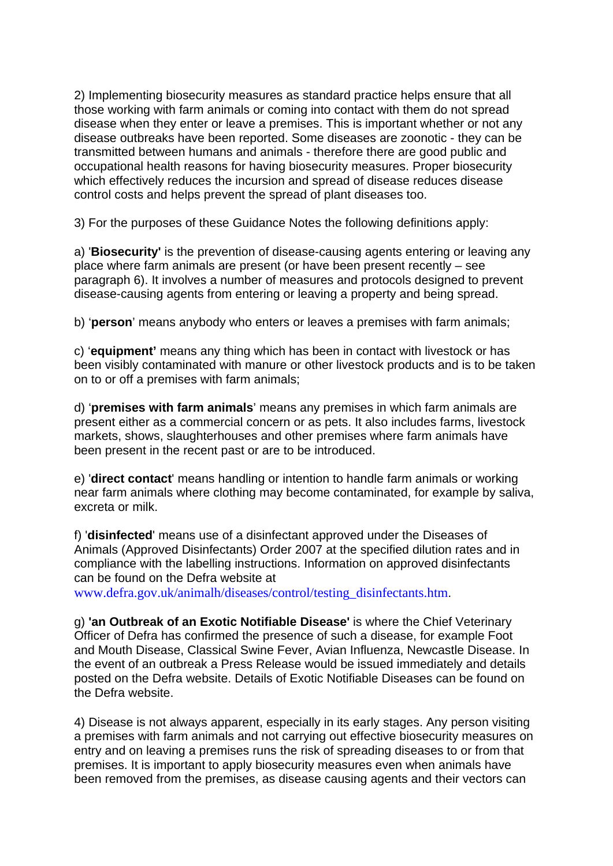2) Implementing biosecurity measures as standard practice helps ensure that all those working with farm animals or coming into contact with them do not spread disease when they enter or leave a premises. This is important whether or not any disease outbreaks have been reported. Some diseases are zoonotic - they can be transmitted between humans and animals - therefore there are good public and occupational health reasons for having biosecurity measures. Proper biosecurity which effectively reduces the incursion and spread of disease reduces disease control costs and helps prevent the spread of plant diseases too.

3) For the purposes of these Guidance Notes the following definitions apply:

a) '**Biosecurity'** is the prevention of disease-causing agents entering or leaving any place where farm animals are present (or have been present recently – see paragraph 6). It involves a number of measures and protocols designed to prevent disease-causing agents from entering or leaving a property and being spread.

b) '**person**' means anybody who enters or leaves a premises with farm animals;

c) '**equipment'** means any thing which has been in contact with livestock or has been visibly contaminated with manure or other livestock products and is to be taken on to or off a premises with farm animals;

d) '**premises with farm animals**' means any premises in which farm animals are present either as a commercial concern or as pets. It also includes farms, livestock markets, shows, slaughterhouses and other premises where farm animals have been present in the recent past or are to be introduced.

e) '**direct contact**' means handling or intention to handle farm animals or working near farm animals where clothing may become contaminated, for example by saliva, excreta or milk.

f) '**disinfected**' means use of a disinfectant approved under the Diseases of Animals (Approved Disinfectants) Order 2007 at the specified dilution rates and in compliance with the labelling instructions. Information on approved disinfectants can be found on the Defra website at

www.defra.gov.uk/animalh/diseases/control/testing\_disinfectants.htm.

g) **'an Outbreak of an Exotic Notifiable Disease'** is where the Chief Veterinary Officer of Defra has confirmed the presence of such a disease, for example Foot and Mouth Disease, Classical Swine Fever, Avian Influenza, Newcastle Disease. In the event of an outbreak a Press Release would be issued immediately and details posted on the Defra website. Details of Exotic Notifiable Diseases can be found on the Defra website.

4) Disease is not always apparent, especially in its early stages. Any person visiting a premises with farm animals and not carrying out effective biosecurity measures on entry and on leaving a premises runs the risk of spreading diseases to or from that premises. It is important to apply biosecurity measures even when animals have been removed from the premises, as disease causing agents and their vectors can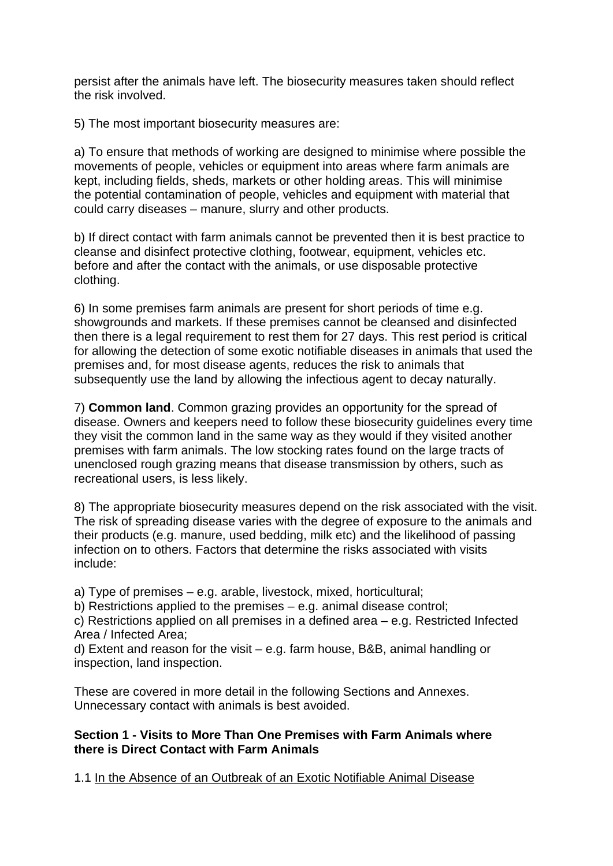persist after the animals have left. The biosecurity measures taken should reflect the risk involved.

5) The most important biosecurity measures are:

a) To ensure that methods of working are designed to minimise where possible the movements of people, vehicles or equipment into areas where farm animals are kept, including fields, sheds, markets or other holding areas. This will minimise the potential contamination of people, vehicles and equipment with material that could carry diseases – manure, slurry and other products.

b) If direct contact with farm animals cannot be prevented then it is best practice to cleanse and disinfect protective clothing, footwear, equipment, vehicles etc. before and after the contact with the animals, or use disposable protective clothing.

6) In some premises farm animals are present for short periods of time e.g. showgrounds and markets. If these premises cannot be cleansed and disinfected then there is a legal requirement to rest them for 27 days. This rest period is critical for allowing the detection of some exotic notifiable diseases in animals that used the premises and, for most disease agents, reduces the risk to animals that subsequently use the land by allowing the infectious agent to decay naturally.

7) **Common land**. Common grazing provides an opportunity for the spread of disease. Owners and keepers need to follow these biosecurity guidelines every time they visit the common land in the same way as they would if they visited another premises with farm animals. The low stocking rates found on the large tracts of unenclosed rough grazing means that disease transmission by others, such as recreational users, is less likely.

8) The appropriate biosecurity measures depend on the risk associated with the visit. The risk of spreading disease varies with the degree of exposure to the animals and their products (e.g. manure, used bedding, milk etc) and the likelihood of passing infection on to others. Factors that determine the risks associated with visits include:

a) Type of premises – e.g. arable, livestock, mixed, horticultural;

b) Restrictions applied to the premises – e.g. animal disease control;

c) Restrictions applied on all premises in a defined area – e.g. Restricted Infected Area / Infected Area;

d) Extent and reason for the visit – e.g. farm house, B&B, animal handling or inspection, land inspection.

These are covered in more detail in the following Sections and Annexes. Unnecessary contact with animals is best avoided.

### **Section 1 - Visits to More Than One Premises with Farm Animals where there is Direct Contact with Farm Animals**

1.1 In the Absence of an Outbreak of an Exotic Notifiable Animal Disease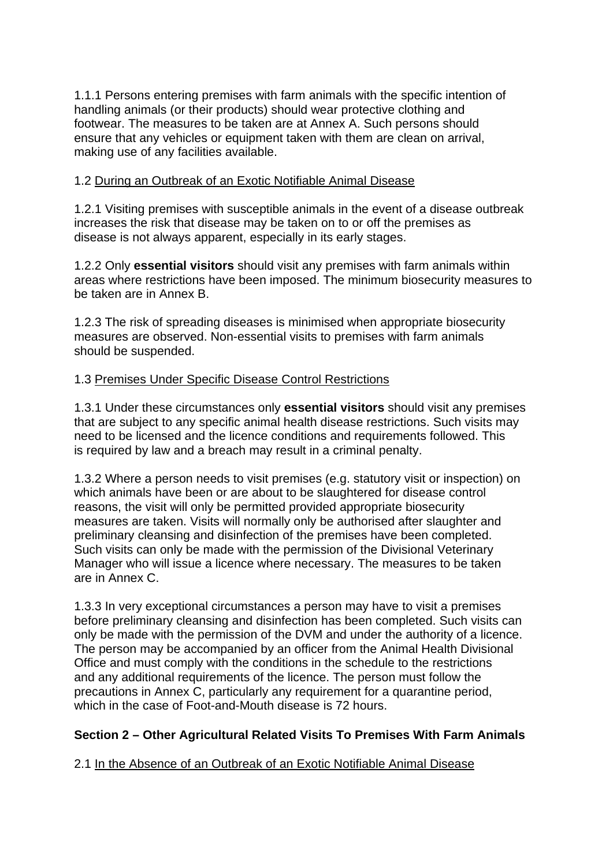1.1.1 Persons entering premises with farm animals with the specific intention of handling animals (or their products) should wear protective clothing and footwear. The measures to be taken are at Annex A. Such persons should ensure that any vehicles or equipment taken with them are clean on arrival, making use of any facilities available.

### 1.2 During an Outbreak of an Exotic Notifiable Animal Disease

1.2.1 Visiting premises with susceptible animals in the event of a disease outbreak increases the risk that disease may be taken on to or off the premises as disease is not always apparent, especially in its early stages.

1.2.2 Only **essential visitors** should visit any premises with farm animals within areas where restrictions have been imposed. The minimum biosecurity measures to be taken are in Annex B.

1.2.3 The risk of spreading diseases is minimised when appropriate biosecurity measures are observed. Non-essential visits to premises with farm animals should be suspended.

# 1.3 Premises Under Specific Disease Control Restrictions

1.3.1 Under these circumstances only **essential visitors** should visit any premises that are subject to any specific animal health disease restrictions. Such visits may need to be licensed and the licence conditions and requirements followed. This is required by law and a breach may result in a criminal penalty.

1.3.2 Where a person needs to visit premises (e.g. statutory visit or inspection) on which animals have been or are about to be slaughtered for disease control reasons, the visit will only be permitted provided appropriate biosecurity measures are taken. Visits will normally only be authorised after slaughter and preliminary cleansing and disinfection of the premises have been completed. Such visits can only be made with the permission of the Divisional Veterinary Manager who will issue a licence where necessary. The measures to be taken are in Annex C.

1.3.3 In very exceptional circumstances a person may have to visit a premises before preliminary cleansing and disinfection has been completed. Such visits can only be made with the permission of the DVM and under the authority of a licence. The person may be accompanied by an officer from the Animal Health Divisional Office and must comply with the conditions in the schedule to the restrictions and any additional requirements of the licence. The person must follow the precautions in Annex C, particularly any requirement for a quarantine period, which in the case of Foot-and-Mouth disease is 72 hours.

# **Section 2 – Other Agricultural Related Visits To Premises With Farm Animals**

2.1 In the Absence of an Outbreak of an Exotic Notifiable Animal Disease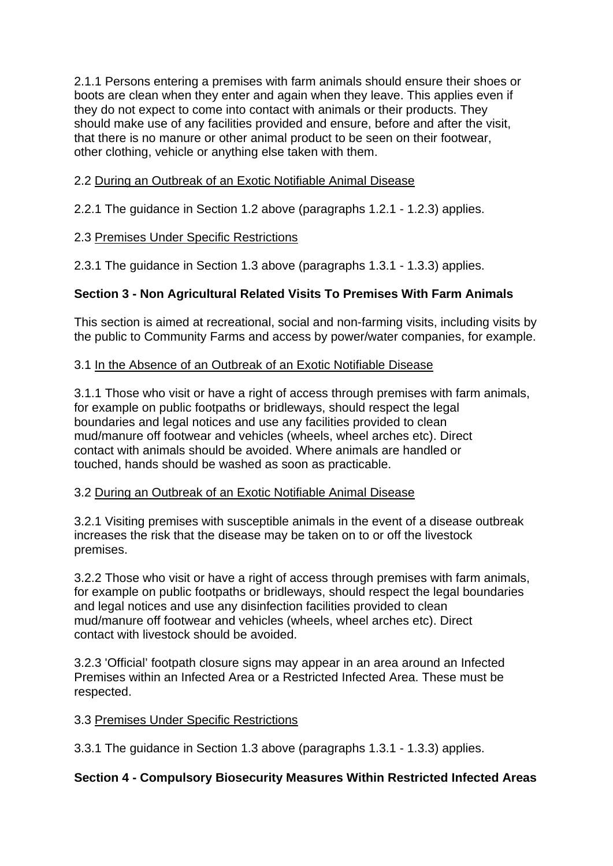2.1.1 Persons entering a premises with farm animals should ensure their shoes or boots are clean when they enter and again when they leave. This applies even if they do not expect to come into contact with animals or their products. They should make use of any facilities provided and ensure, before and after the visit, that there is no manure or other animal product to be seen on their footwear, other clothing, vehicle or anything else taken with them.

# 2.2 During an Outbreak of an Exotic Notifiable Animal Disease

2.2.1 The guidance in Section 1.2 above (paragraphs 1.2.1 - 1.2.3) applies.

# 2.3 Premises Under Specific Restrictions

2.3.1 The guidance in Section 1.3 above (paragraphs 1.3.1 - 1.3.3) applies.

# **Section 3 - Non Agricultural Related Visits To Premises With Farm Animals**

This section is aimed at recreational, social and non-farming visits, including visits by the public to Community Farms and access by power/water companies, for example.

# 3.1 In the Absence of an Outbreak of an Exotic Notifiable Disease

3.1.1 Those who visit or have a right of access through premises with farm animals, for example on public footpaths or bridleways, should respect the legal boundaries and legal notices and use any facilities provided to clean mud/manure off footwear and vehicles (wheels, wheel arches etc). Direct contact with animals should be avoided. Where animals are handled or touched, hands should be washed as soon as practicable.

# 3.2 During an Outbreak of an Exotic Notifiable Animal Disease

3.2.1 Visiting premises with susceptible animals in the event of a disease outbreak increases the risk that the disease may be taken on to or off the livestock premises.

3.2.2 Those who visit or have a right of access through premises with farm animals, for example on public footpaths or bridleways, should respect the legal boundaries and legal notices and use any disinfection facilities provided to clean mud/manure off footwear and vehicles (wheels, wheel arches etc). Direct contact with livestock should be avoided.

3.2.3 'Official' footpath closure signs may appear in an area around an Infected Premises within an Infected Area or a Restricted Infected Area. These must be respected.

### 3.3 Premises Under Specific Restrictions

3.3.1 The guidance in Section 1.3 above (paragraphs 1.3.1 - 1.3.3) applies.

# **Section 4 - Compulsory Biosecurity Measures Within Restricted Infected Areas**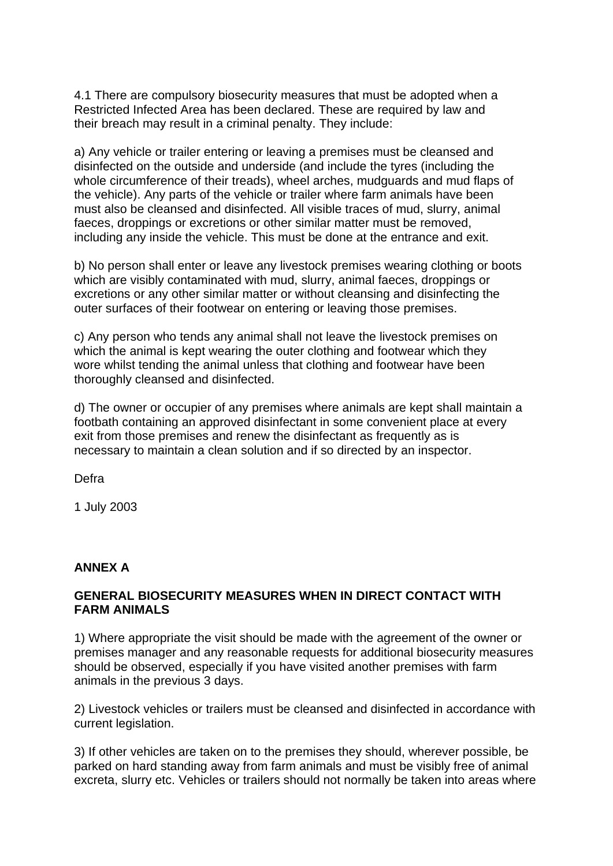4.1 There are compulsory biosecurity measures that must be adopted when a Restricted Infected Area has been declared. These are required by law and their breach may result in a criminal penalty. They include:

a) Any vehicle or trailer entering or leaving a premises must be cleansed and disinfected on the outside and underside (and include the tyres (including the whole circumference of their treads), wheel arches, mudguards and mud flaps of the vehicle). Any parts of the vehicle or trailer where farm animals have been must also be cleansed and disinfected. All visible traces of mud, slurry, animal faeces, droppings or excretions or other similar matter must be removed, including any inside the vehicle. This must be done at the entrance and exit.

b) No person shall enter or leave any livestock premises wearing clothing or boots which are visibly contaminated with mud, slurry, animal faeces, droppings or excretions or any other similar matter or without cleansing and disinfecting the outer surfaces of their footwear on entering or leaving those premises.

c) Any person who tends any animal shall not leave the livestock premises on which the animal is kept wearing the outer clothing and footwear which they wore whilst tending the animal unless that clothing and footwear have been thoroughly cleansed and disinfected.

d) The owner or occupier of any premises where animals are kept shall maintain a footbath containing an approved disinfectant in some convenient place at every exit from those premises and renew the disinfectant as frequently as is necessary to maintain a clean solution and if so directed by an inspector.

Defra

1 July 2003

#### **ANNEX A**

#### **GENERAL BIOSECURITY MEASURES WHEN IN DIRECT CONTACT WITH FARM ANIMALS**

1) Where appropriate the visit should be made with the agreement of the owner or premises manager and any reasonable requests for additional biosecurity measures should be observed, especially if you have visited another premises with farm animals in the previous 3 days.

2) Livestock vehicles or trailers must be cleansed and disinfected in accordance with current legislation.

3) If other vehicles are taken on to the premises they should, wherever possible, be parked on hard standing away from farm animals and must be visibly free of animal excreta, slurry etc. Vehicles or trailers should not normally be taken into areas where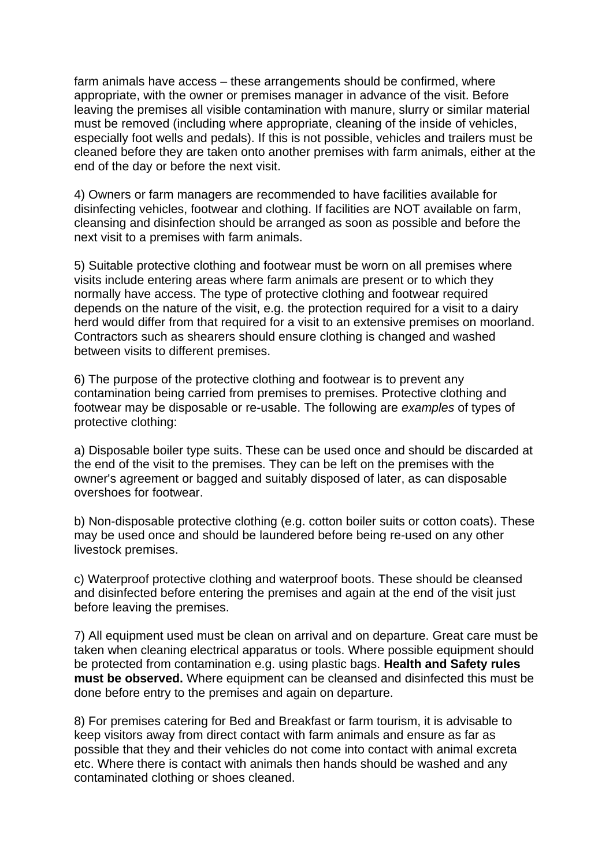farm animals have access – these arrangements should be confirmed, where appropriate, with the owner or premises manager in advance of the visit. Before leaving the premises all visible contamination with manure, slurry or similar material must be removed (including where appropriate, cleaning of the inside of vehicles, especially foot wells and pedals). If this is not possible, vehicles and trailers must be cleaned before they are taken onto another premises with farm animals, either at the end of the day or before the next visit.

4) Owners or farm managers are recommended to have facilities available for disinfecting vehicles, footwear and clothing. If facilities are NOT available on farm, cleansing and disinfection should be arranged as soon as possible and before the next visit to a premises with farm animals.

5) Suitable protective clothing and footwear must be worn on all premises where visits include entering areas where farm animals are present or to which they normally have access. The type of protective clothing and footwear required depends on the nature of the visit, e.g. the protection required for a visit to a dairy herd would differ from that required for a visit to an extensive premises on moorland. Contractors such as shearers should ensure clothing is changed and washed between visits to different premises.

6) The purpose of the protective clothing and footwear is to prevent any contamination being carried from premises to premises. Protective clothing and footwear may be disposable or re-usable. The following are *examples* of types of protective clothing:

a) Disposable boiler type suits. These can be used once and should be discarded at the end of the visit to the premises. They can be left on the premises with the owner's agreement or bagged and suitably disposed of later, as can disposable overshoes for footwear.

b) Non-disposable protective clothing (e.g. cotton boiler suits or cotton coats). These may be used once and should be laundered before being re-used on any other livestock premises.

c) Waterproof protective clothing and waterproof boots. These should be cleansed and disinfected before entering the premises and again at the end of the visit just before leaving the premises.

7) All equipment used must be clean on arrival and on departure. Great care must be taken when cleaning electrical apparatus or tools. Where possible equipment should be protected from contamination e.g. using plastic bags. **Health and Safety rules must be observed.** Where equipment can be cleansed and disinfected this must be done before entry to the premises and again on departure.

8) For premises catering for Bed and Breakfast or farm tourism, it is advisable to keep visitors away from direct contact with farm animals and ensure as far as possible that they and their vehicles do not come into contact with animal excreta etc. Where there is contact with animals then hands should be washed and any contaminated clothing or shoes cleaned.